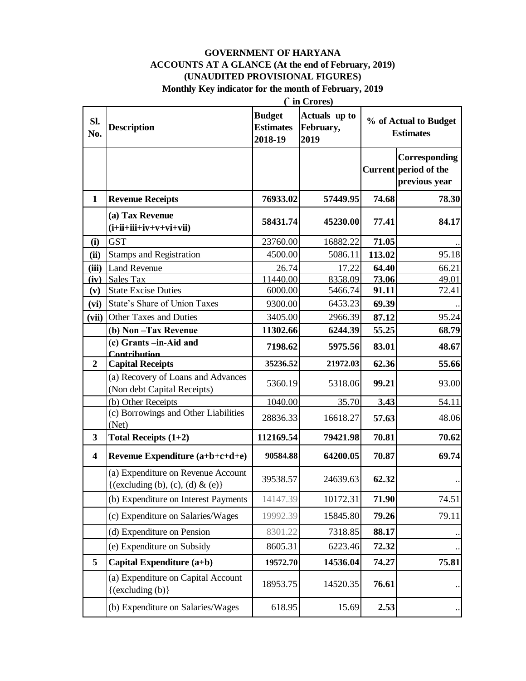## **GOVERNMENT OF HARYANA ACCOUNTS AT A GLANCE (At the end of February, 2019) (UNAUDITED PROVISIONAL FIGURES)**

Monthly Key indicator for the month of February, 2019

|                         | ( in Crores)                                                           |                                              |                                    |        |                                                         |  |
|-------------------------|------------------------------------------------------------------------|----------------------------------------------|------------------------------------|--------|---------------------------------------------------------|--|
| Sl.<br>No.              | <b>Description</b>                                                     | <b>Budget</b><br><b>Estimates</b><br>2018-19 | Actuals up to<br>February,<br>2019 |        | % of Actual to Budget<br><b>Estimates</b>               |  |
|                         |                                                                        |                                              |                                    |        | Corresponding<br>Current period of the<br>previous year |  |
| $\mathbf{1}$            | <b>Revenue Receipts</b>                                                | 76933.02                                     | 57449.95                           | 74.68  | 78.30                                                   |  |
|                         | (a) Tax Revenue<br>$(i+ii+iii+iv+v+vi+vii)$                            | 58431.74                                     | 45230.00                           | 77.41  | 84.17                                                   |  |
| (i)                     | <b>GST</b>                                                             | 23760.00                                     | 16882.22                           | 71.05  |                                                         |  |
| (ii)                    | <b>Stamps and Registration</b>                                         | 4500.00                                      | 5086.11                            | 113.02 | 95.18                                                   |  |
| (iii)                   | <b>Land Revenue</b>                                                    | 26.74                                        | 17.22                              | 64.40  | 66.21                                                   |  |
| (iv)                    | Sales Tax                                                              | 11440.00                                     | 8358.09                            | 73.06  | 49.01                                                   |  |
| (v)                     | <b>State Excise Duties</b>                                             | 6000.00                                      | 5466.74                            | 91.11  | 72.41                                                   |  |
| (vi)                    | State's Share of Union Taxes                                           | 9300.00                                      | 6453.23                            | 69.39  |                                                         |  |
| (vii)                   | Other Taxes and Duties                                                 | 3405.00                                      | 2966.39                            | 87.12  | 95.24                                                   |  |
|                         | (b) Non-Tax Revenue<br>(c) Grants -in-Aid and                          | 11302.66                                     | 6244.39                            | 55.25  | 68.79                                                   |  |
|                         | <b>Contribution</b>                                                    | 7198.62                                      | 5975.56                            | 83.01  | 48.67                                                   |  |
| $\overline{2}$          | <b>Capital Receipts</b>                                                | 35236.52                                     | 21972.03                           | 62.36  | 55.66                                                   |  |
|                         | (a) Recovery of Loans and Advances<br>(Non debt Capital Receipts)      | 5360.19                                      | 5318.06                            | 99.21  | 93.00                                                   |  |
|                         | (b) Other Receipts                                                     | 1040.00                                      | 35.70                              | 3.43   | 54.11                                                   |  |
|                         | (c) Borrowings and Other Liabilities<br>(Net)                          | 28836.33                                     | 16618.27                           | 57.63  | 48.06                                                   |  |
| $\mathbf{3}$            | Total Receipts $(1+2)$                                                 | 112169.54                                    | 79421.98                           | 70.81  | 70.62                                                   |  |
| $\overline{\mathbf{4}}$ | Revenue Expenditure (a+b+c+d+e)                                        | 90584.88                                     | 64200.05                           | 70.87  | 69.74                                                   |  |
|                         | (a) Expenditure on Revenue Account<br>{(excluding (b), (c), (d) & (e)} | 39538.57                                     | 24639.63                           | 62.32  |                                                         |  |
|                         | (b) Expenditure on Interest Payments                                   | 14147.39                                     | 10172.31                           | 71.90  | 74.51                                                   |  |
|                         | (c) Expenditure on Salaries/Wages                                      | 19992.39                                     | 15845.80                           | 79.26  | 79.11                                                   |  |
|                         | (d) Expenditure on Pension                                             | 8301.22                                      | 7318.85                            | 88.17  |                                                         |  |
|                         | (e) Expenditure on Subsidy                                             | 8605.31                                      | 6223.46                            | 72.32  |                                                         |  |
| 5                       | Capital Expenditure (a+b)                                              | 19572.70                                     | 14536.04                           | 74.27  | 75.81                                                   |  |
|                         | (a) Expenditure on Capital Account<br>$\{(excluding (b)\}\$            | 18953.75                                     | 14520.35                           | 76.61  |                                                         |  |
|                         | (b) Expenditure on Salaries/Wages                                      | 618.95                                       | 15.69                              | 2.53   |                                                         |  |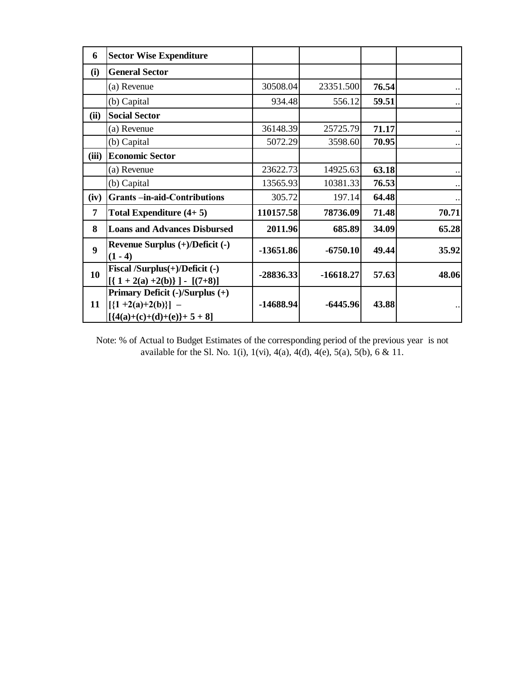| 6     | <b>Sector Wise Expenditure</b>                                                         |             |             |       |       |
|-------|----------------------------------------------------------------------------------------|-------------|-------------|-------|-------|
| (i)   | <b>General Sector</b>                                                                  |             |             |       |       |
|       | (a) Revenue                                                                            | 30508.04    | 23351.500   | 76.54 |       |
|       | (b) Capital                                                                            | 934.48      | 556.12      | 59.51 |       |
| (ii)  | <b>Social Sector</b>                                                                   |             |             |       |       |
|       | (a) Revenue                                                                            | 36148.39    | 25725.79    | 71.17 |       |
|       | (b) Capital                                                                            | 5072.29     | 3598.60     | 70.95 |       |
| (iii) | <b>Economic Sector</b>                                                                 |             |             |       |       |
|       | (a) Revenue                                                                            | 23622.73    | 14925.63    | 63.18 |       |
|       | (b) Capital                                                                            | 13565.93    | 10381.33    | 76.53 |       |
| (iv)  | <b>Grants-in-aid-Contributions</b>                                                     | 305.72      | 197.14      | 64.48 |       |
| 7     | Total Expenditure $(4+5)$                                                              | 110157.58   | 78736.09    | 71.48 | 70.71 |
| 8     | <b>Loans and Advances Disbursed</b>                                                    | 2011.96     | 685.89      | 34.09 | 65.28 |
| 9     | Revenue Surplus $(+)/$ Deficit $(-)$<br>$(1 - 4)$                                      | $-13651.86$ | $-6750.10$  | 49.44 | 35.92 |
| 10    | Fiscal /Surplus(+)/Deficit (-)<br>$[{1 + 2(a) +2(b)}] - [(7+8)]$                       | $-28836.33$ | $-16618.27$ | 57.63 | 48.06 |
| 11    | Primary Deficit (-)/Surplus (+)<br>$[\{1+2(a)+2(b)\}]$ –<br>$[{4(a)+(c)+(d)+(e)}+5+8]$ | $-14688.94$ | $-6445.96$  | 43.88 |       |

Note: % of Actual to Budget Estimates of the corresponding period of the previous year is not available for the Sl. No. 1(i), 1(vi), 4(a), 4(d), 4(e), 5(a), 5(b), 6 & 11.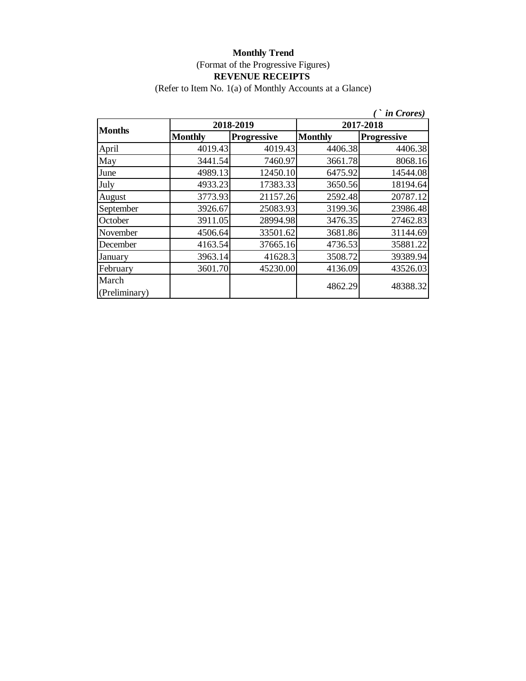(Refer to Item No. 1(a) of Monthly Accounts at a Glance)

|                        |                |                    |                | <i>in Crores</i> ) |
|------------------------|----------------|--------------------|----------------|--------------------|
| <b>Months</b>          |                | 2018-2019          | 2017-2018      |                    |
|                        | <b>Monthly</b> | <b>Progressive</b> | <b>Monthly</b> | <b>Progressive</b> |
| April                  | 4019.43        | 4019.43            | 4406.38        | 4406.38            |
| May                    | 3441.54        | 7460.97            | 3661.78        | 8068.16            |
| June                   | 4989.13        | 12450.10           | 6475.92        | 14544.08           |
| July                   | 4933.23        | 17383.33           | 3650.56        | 18194.64           |
| August                 | 3773.93        | 21157.26           | 2592.48        | 20787.12           |
| September              | 3926.67        | 25083.93           | 3199.36        | 23986.48           |
| October                | 3911.05        | 28994.98           | 3476.35        | 27462.83           |
| November               | 4506.64        | 33501.62           | 3681.86        | 31144.69           |
| December               | 4163.54        | 37665.16           | 4736.53        | 35881.22           |
| January                | 3963.14        | 41628.3            | 3508.72        | 39389.94           |
| February               | 3601.70        | 45230.00           | 4136.09        | 43526.03           |
| March<br>(Preliminary) |                |                    | 4862.29        | 48388.32           |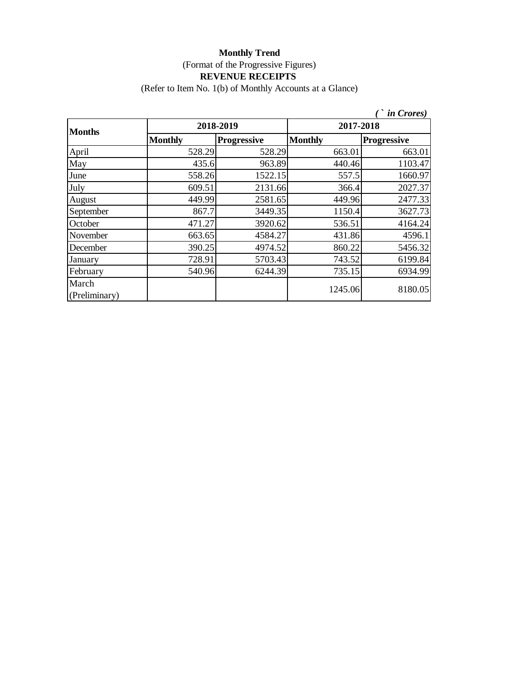# **Monthly Trend** (Format of the Progressive Figures)

## **REVENUE RECEIPTS**

(Refer to Item No. 1(b) of Monthly Accounts at a Glance)

|                        |                |                    |                | <i>in Crores</i> ) |  |
|------------------------|----------------|--------------------|----------------|--------------------|--|
| <b>Months</b>          |                | 2018-2019          | 2017-2018      |                    |  |
|                        | <b>Monthly</b> | <b>Progressive</b> | <b>Monthly</b> | <b>Progressive</b> |  |
| April                  | 528.29         | 528.29             | 663.01         | 663.01             |  |
| May                    | 435.6          | 963.89             | 440.46         | 1103.47            |  |
| June                   | 558.26         | 1522.15            | 557.5          | 1660.97            |  |
| July                   | 609.51         | 2131.66            | 366.4          | 2027.37            |  |
| August                 | 449.99         | 2581.65            | 449.96         | 2477.33            |  |
| September              | 867.7          | 3449.35            | 1150.4         | 3627.73            |  |
| October                | 471.27         | 3920.62            | 536.51         | 4164.24            |  |
| November               | 663.65         | 4584.27            | 431.86         | 4596.1             |  |
| December               | 390.25         | 4974.52            | 860.22         | 5456.32            |  |
| January                | 728.91         | 5703.43            | 743.52         | 6199.84            |  |
| February               | 540.96         | 6244.39            | 735.15         | 6934.99            |  |
| March<br>(Preliminary) |                |                    | 1245.06        | 8180.05            |  |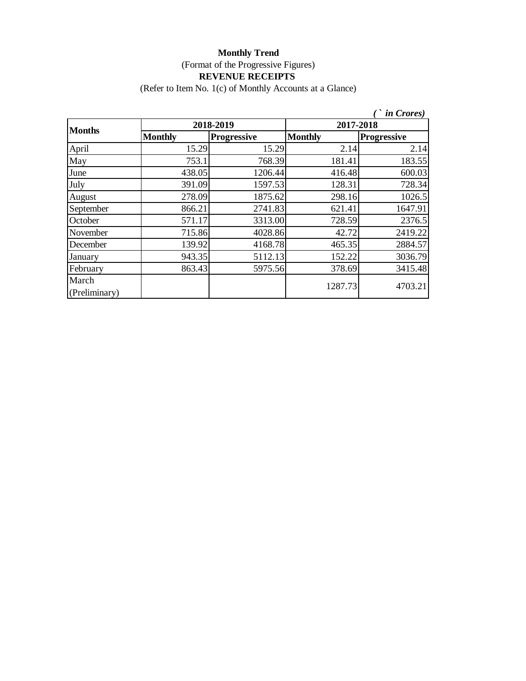(Refer to Item No. 1(c) of Monthly Accounts at a Glance)

|                        |                |                    |                | <i>in</i> Crores)  |  |
|------------------------|----------------|--------------------|----------------|--------------------|--|
| <b>Months</b>          |                | 2018-2019          | 2017-2018      |                    |  |
|                        | <b>Monthly</b> | <b>Progressive</b> | <b>Monthly</b> | <b>Progressive</b> |  |
| April                  | 15.29          | 15.29              | 2.14           | 2.14               |  |
| May                    | 753.1          | 768.39             | 181.41         | 183.55             |  |
| June                   | 438.05         | 1206.44            | 416.48         | 600.03             |  |
| July                   | 391.09         | 1597.53            | 128.31         | 728.34             |  |
| August                 | 278.09         | 1875.62            | 298.16         | 1026.5             |  |
| September              | 866.21         | 2741.83            | 621.41         | 1647.91            |  |
| October                | 571.17         | 3313.00            | 728.59         | 2376.5             |  |
| November               | 715.86         | 4028.86            | 42.72          | 2419.22            |  |
| December               | 139.92         | 4168.78            | 465.35         | 2884.57            |  |
| January                | 943.35         | 5112.13            | 152.22         | 3036.79            |  |
| February               | 863.43         | 5975.56            | 378.69         | 3415.48            |  |
| March<br>(Preliminary) |                |                    | 1287.73        | 4703.21            |  |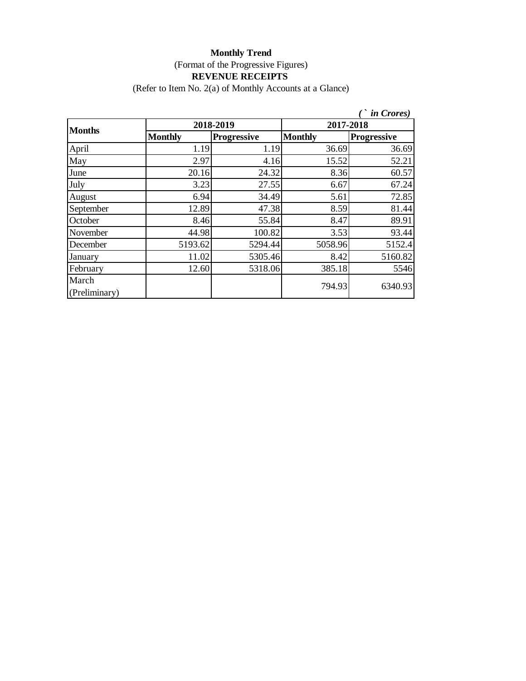#### **Monthly Trend**

(Format of the Progressive Figures)

#### **REVENUE RECEIPTS**

(Refer to Item No. 2(a) of Monthly Accounts at a Glance)

|                        |                |                    |                | <i>in Crores</i> ) |  |
|------------------------|----------------|--------------------|----------------|--------------------|--|
| <b>Months</b>          |                | 2018-2019          | 2017-2018      |                    |  |
|                        | <b>Monthly</b> | <b>Progressive</b> | <b>Monthly</b> | <b>Progressive</b> |  |
| April                  | 1.19           | 1.19               | 36.69          | 36.69              |  |
| May                    | 2.97           | 4.16               | 15.52          | 52.21              |  |
| June                   | 20.16          | 24.32              | 8.36           | 60.57              |  |
| July                   | 3.23           | 27.55              | 6.67           | 67.24              |  |
| August                 | 6.94           | 34.49              | 5.61           | 72.85              |  |
| September              | 12.89          | 47.38              | 8.59           | 81.44              |  |
| October                | 8.46           | 55.84              | 8.47           | 89.91              |  |
| November               | 44.98          | 100.82             | 3.53           | 93.44              |  |
| December               | 5193.62        | 5294.44            | 5058.96        | 5152.4             |  |
| January                | 11.02          | 5305.46            | 8.42           | 5160.82            |  |
| February               | 12.60          | 5318.06            | 385.18         | 5546               |  |
| March<br>(Preliminary) |                |                    | 794.93         | 6340.93            |  |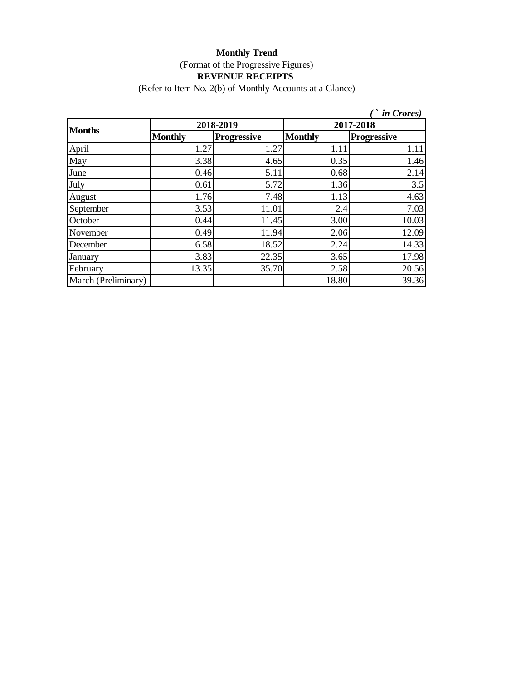(Refer to Item No. 2(b) of Monthly Accounts at a Glance)

|                     |                |                    |                | <i>in Crores</i> ) |
|---------------------|----------------|--------------------|----------------|--------------------|
| <b>Months</b>       |                | 2018-2019          |                | 2017-2018          |
|                     | <b>Monthly</b> | <b>Progressive</b> | <b>Monthly</b> | <b>Progressive</b> |
| April               | 1.27           | 1.27               | 1.11           | 1.11               |
| May                 | 3.38           | 4.65               | 0.35           | 1.46               |
| June                | 0.46           | 5.11               | 0.68           | 2.14               |
| July                | 0.61           | 5.72               | 1.36           | 3.5                |
| August              | 1.76           | 7.48               | 1.13           | 4.63               |
| September           | 3.53           | 11.01              | 2.4            | 7.03               |
| October             | 0.44           | 11.45              | 3.00           | 10.03              |
| November            | 0.49           | 11.94              | 2.06           | 12.09              |
| December            | 6.58           | 18.52              | 2.24           | 14.33              |
| January             | 3.83           | 22.35              | 3.65           | 17.98              |
| February            | 13.35          | 35.70              | 2.58           | 20.56              |
| March (Preliminary) |                |                    | 18.80          | 39.36              |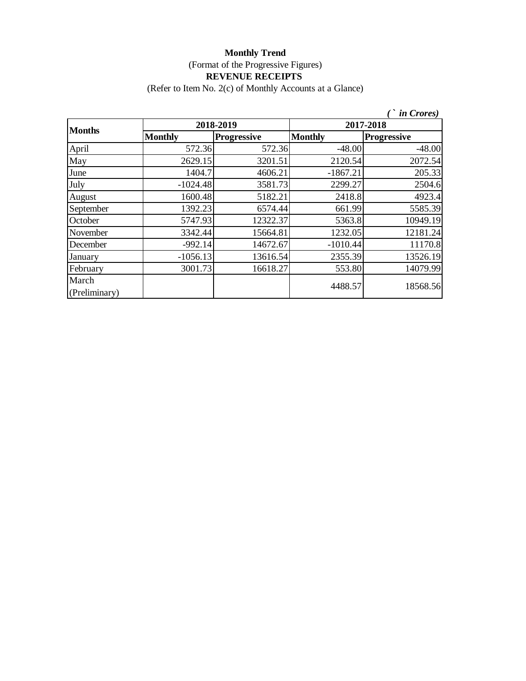(Refer to Item No. 2(c) of Monthly Accounts at a Glance)

|                        |                |                    |                | <i>in Crores</i> ) |  |
|------------------------|----------------|--------------------|----------------|--------------------|--|
| <b>Months</b>          |                | 2018-2019          | 2017-2018      |                    |  |
|                        | <b>Monthly</b> | <b>Progressive</b> | <b>Monthly</b> | <b>Progressive</b> |  |
| April                  | 572.36         | 572.36             | $-48.00$       | $-48.00$           |  |
| May                    | 2629.15        | 3201.51            | 2120.54        | 2072.54            |  |
| June                   | 1404.7         | 4606.21            | $-1867.21$     | 205.33             |  |
| July                   | $-1024.48$     | 3581.73            | 2299.27        | 2504.6             |  |
| August                 | 1600.48        | 5182.21            | 2418.8         | 4923.4             |  |
| September              | 1392.23        | 6574.44            | 661.99         | 5585.39            |  |
| October                | 5747.93        | 12322.37           | 5363.8         | 10949.19           |  |
| November               | 3342.44        | 15664.81           | 1232.05        | 12181.24           |  |
| December               | $-992.14$      | 14672.67           | $-1010.44$     | 11170.8            |  |
| January                | $-1056.13$     | 13616.54           | 2355.39        | 13526.19           |  |
| February               | 3001.73        | 16618.27           | 553.80         | 14079.99           |  |
| March<br>(Preliminary) |                |                    | 4488.57        | 18568.56           |  |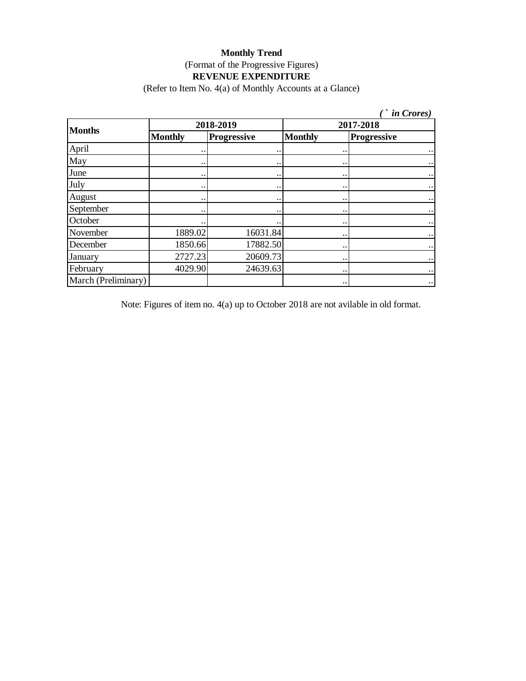(Refer to Item No. 4(a) of Monthly Accounts at a Glance)

| <i>in Crores</i> )  |                |                    |                      |                    |  |  |
|---------------------|----------------|--------------------|----------------------|--------------------|--|--|
| <b>Months</b>       | 2018-2019      |                    |                      | 2017-2018          |  |  |
|                     | <b>Monthly</b> | <b>Progressive</b> | <b>Monthly</b>       | <b>Progressive</b> |  |  |
| April               |                |                    |                      |                    |  |  |
| May                 |                |                    |                      |                    |  |  |
| June                |                |                    | $\ddot{\phantom{0}}$ |                    |  |  |
| July                |                |                    |                      |                    |  |  |
| August              |                |                    |                      |                    |  |  |
| September           |                |                    | $\ddotsc$            | $\ddotsc$          |  |  |
| October             |                |                    | $\bullet\,\bullet$   | $\ddotsc$          |  |  |
| November            | 1889.02        | 16031.84           |                      |                    |  |  |
| December            | 1850.66        | 17882.50           |                      |                    |  |  |
| January             | 2727.23        | 20609.73           |                      |                    |  |  |
| February            | 4029.90        | 24639.63           | $\ddotsc$            |                    |  |  |
| March (Preliminary) |                |                    |                      |                    |  |  |

Note: Figures of item no. 4(a) up to October 2018 are not avilable in old format.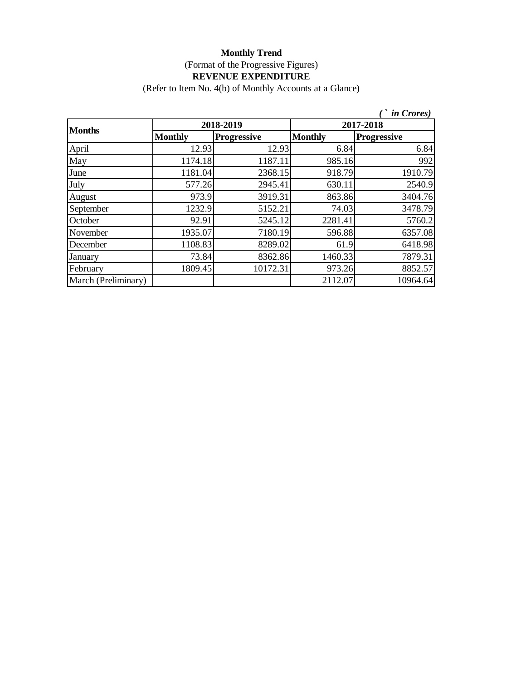(Refer to Item No. 4(b) of Monthly Accounts at a Glance)

|                     |                |                    |                | <i>in Crores</i> ) |  |  |
|---------------------|----------------|--------------------|----------------|--------------------|--|--|
| <b>Months</b>       |                | 2018-2019          |                | 2017-2018          |  |  |
|                     | <b>Monthly</b> | <b>Progressive</b> | <b>Monthly</b> | <b>Progressive</b> |  |  |
| April               | 12.93          | 12.93              | 6.84           | 6.84               |  |  |
| May                 | 1174.18        | 1187.11            | 985.16         | 992                |  |  |
| June                | 1181.04        | 2368.15            | 918.79         | 1910.79            |  |  |
| July                | 577.26         | 2945.41            | 630.11         | 2540.9             |  |  |
| August              | 973.9          | 3919.31            | 863.86         | 3404.76            |  |  |
| September           | 1232.9         | 5152.21            | 74.03          | 3478.79            |  |  |
| October             | 92.91          | 5245.12            | 2281.41        | 5760.2             |  |  |
| November            | 1935.07        | 7180.19            | 596.88         | 6357.08            |  |  |
| December            | 1108.83        | 8289.02            | 61.9           | 6418.98            |  |  |
| January             | 73.84          | 8362.86            | 1460.33        | 7879.31            |  |  |
| February            | 1809.45        | 10172.31           | 973.26         | 8852.57            |  |  |
| March (Preliminary) |                |                    | 2112.07        | 10964.64           |  |  |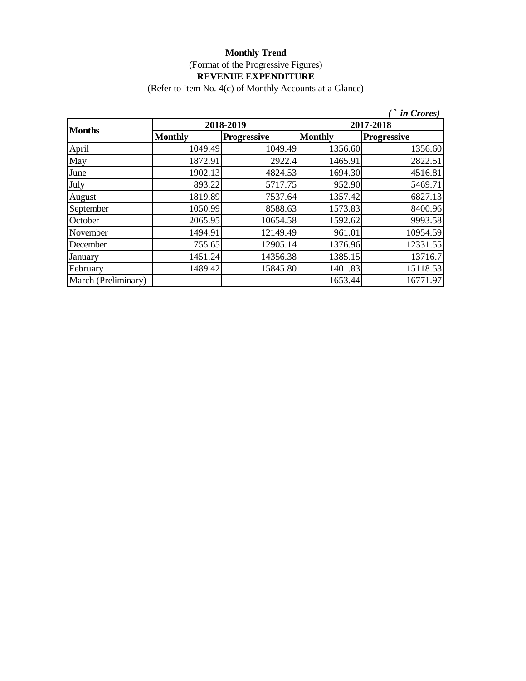(Refer to Item No. 4(c) of Monthly Accounts at a Glance)

|                     |                |                    |                | <i>in Crores</i> ) |
|---------------------|----------------|--------------------|----------------|--------------------|
| <b>Months</b>       |                | 2018-2019          |                | 2017-2018          |
|                     | <b>Monthly</b> | <b>Progressive</b> | <b>Monthly</b> | <b>Progressive</b> |
| April               | 1049.49        | 1049.49            | 1356.60        | 1356.60            |
| May                 | 1872.91        | 2922.4             | 1465.91        | 2822.51            |
| June                | 1902.13        | 4824.53            | 1694.30        | 4516.81            |
| July                | 893.22         | 5717.75            | 952.90         | 5469.71            |
| August              | 1819.89        | 7537.64            | 1357.42        | 6827.13            |
| September           | 1050.99        | 8588.63            | 1573.83        | 8400.96            |
| October             | 2065.95        | 10654.58           | 1592.62        | 9993.58            |
| November            | 1494.91        | 12149.49           | 961.01         | 10954.59           |
| December            | 755.65         | 12905.14           | 1376.96        | 12331.55           |
| January             | 1451.24        | 14356.38           | 1385.15        | 13716.7            |
| February            | 1489.42        | 15845.80           | 1401.83        | 15118.53           |
| March (Preliminary) |                |                    | 1653.44        | 16771.97           |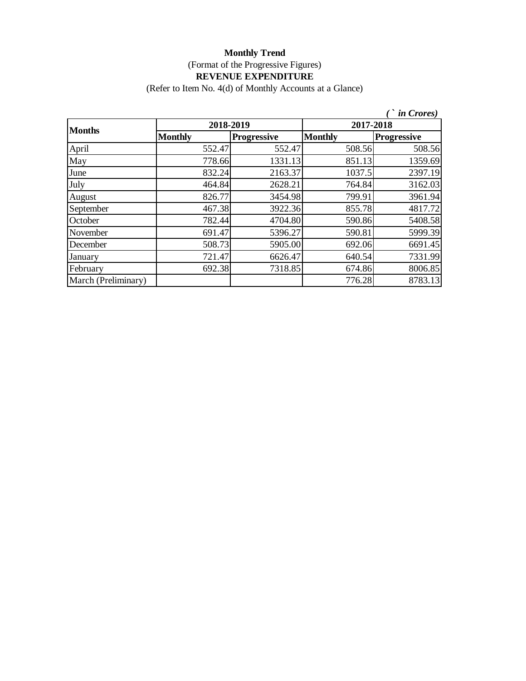(Refer to Item No. 4(d) of Monthly Accounts at a Glance)

|                     |                |                    |                | <i>in Crores</i> ) |  |
|---------------------|----------------|--------------------|----------------|--------------------|--|
| <b>Months</b>       | 2018-2019      |                    | 2017-2018      |                    |  |
|                     | <b>Monthly</b> | <b>Progressive</b> | <b>Monthly</b> | <b>Progressive</b> |  |
| April               | 552.47         | 552.47             | 508.56         | 508.56             |  |
| May                 | 778.66         | 1331.13            | 851.13         | 1359.69            |  |
| June                | 832.24         | 2163.37            | 1037.5         | 2397.19            |  |
| July                | 464.84         | 2628.21            | 764.84         | 3162.03            |  |
| August              | 826.77         | 3454.98            | 799.91         | 3961.94            |  |
| September           | 467.38         | 3922.36            | 855.78         | 4817.72            |  |
| October             | 782.44         | 4704.80            | 590.86         | 5408.58            |  |
| November            | 691.47         | 5396.27            | 590.81         | 5999.39            |  |
| December            | 508.73         | 5905.00            | 692.06         | 6691.45            |  |
| January             | 721.47         | 6626.47            | 640.54         | 7331.99            |  |
| February            | 692.38         | 7318.85            | 674.86         | 8006.85            |  |
| March (Preliminary) |                |                    | 776.28         | 8783.13            |  |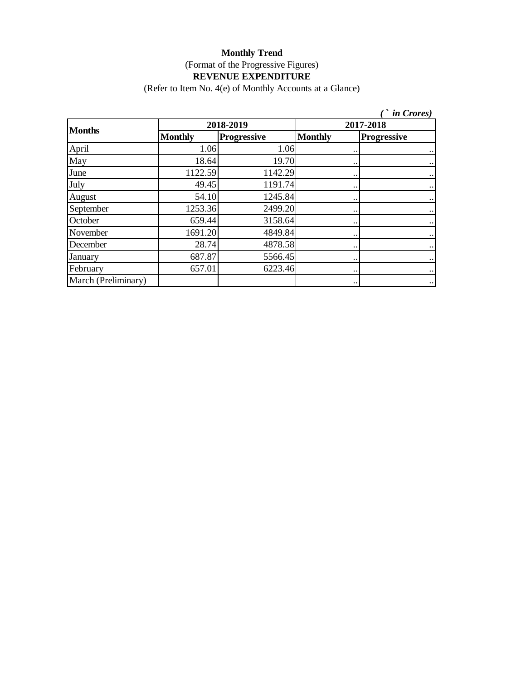(Refer to Item No. 4(e) of Monthly Accounts at a Glance)

|                     |                |                    |                        | <i>in Crores</i> ) |
|---------------------|----------------|--------------------|------------------------|--------------------|
| <b>Months</b>       | 2018-2019      |                    | 2017-2018              |                    |
|                     | <b>Monthly</b> | <b>Progressive</b> | <b>Monthly</b>         | <b>Progressive</b> |
| April               | 1.06           | 1.06               | $\ddot{\phantom{0}}$   | $\ddotsc$          |
| May                 | 18.64          | 19.70              | $\bullet\,\bullet$     | $\ddotsc$          |
| June                | 1122.59        | 1142.29            | $\bullet\,\bullet$     | $\ddotsc$          |
| July                | 49.45          | 1191.74            | $\ddot{\phantom{0}}$   | $\ddotsc$          |
| August              | 54.10          | 1245.84            | $\bullet\,\bullet$     | $\ddotsc$          |
| September           | 1253.36        | 2499.20            | $\bullet\,\bullet$     | $\ddotsc$          |
| October             | 659.44         | 3158.64            | $\bullet\,\bullet$     | $\ddotsc$          |
| November            | 1691.20        | 4849.84            | $\ddot{\phantom{a}}$ . | $\ddotsc$          |
| December            | 28.74          | 4878.58            | $\bullet\,\bullet$     | $\ddotsc$          |
| January             | 687.87         | 5566.45            | $\ddot{\phantom{a}}$ . | $\ddotsc$          |
| February            | 657.01         | 6223.46            | $\ddotsc$              | $\ddotsc$          |
| March (Preliminary) |                |                    | $\ddot{\phantom{a}}$ . | $\bullet$ .        |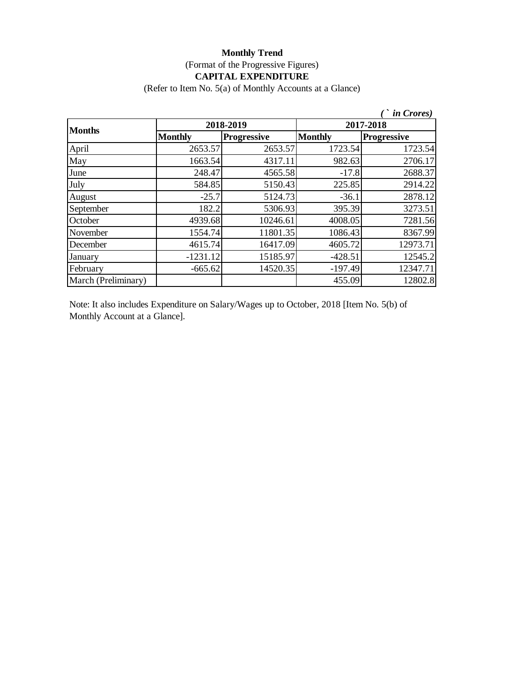#### **Monthly Trend** (Format of the Progressive Figures) **CAPITAL EXPENDITURE**

(Refer to Item No. 5(a) of Monthly Accounts at a Glance)

|                     |                |                    |                | <i>in Crores</i> ) |
|---------------------|----------------|--------------------|----------------|--------------------|
| <b>Months</b>       | 2018-2019      |                    | 2017-2018      |                    |
|                     | <b>Monthly</b> | <b>Progressive</b> | <b>Monthly</b> | <b>Progressive</b> |
| April               | 2653.57        | 2653.57            | 1723.54        | 1723.54            |
| May                 | 1663.54        | 4317.11            | 982.63         | 2706.17            |
| June                | 248.47         | 4565.58            | $-17.8$        | 2688.37            |
| July                | 584.85         | 5150.43            | 225.85         | 2914.22            |
| August              | $-25.7$        | 5124.73            | $-36.1$        | 2878.12            |
| September           | 182.2          | 5306.93            | 395.39         | 3273.51            |
| October             | 4939.68        | 10246.61           | 4008.05        | 7281.56            |
| November            | 1554.74        | 11801.35           | 1086.43        | 8367.99            |
| December            | 4615.74        | 16417.09           | 4605.72        | 12973.71           |
| January             | $-1231.12$     | 15185.97           | $-428.51$      | 12545.2            |
| February            | $-665.62$      | 14520.35           | $-197.49$      | 12347.71           |
| March (Preliminary) |                |                    | 455.09         | 12802.8            |

Note: It also includes Expenditure on Salary/Wages up to October, 2018 [Item No. 5(b) of Monthly Account at a Glance].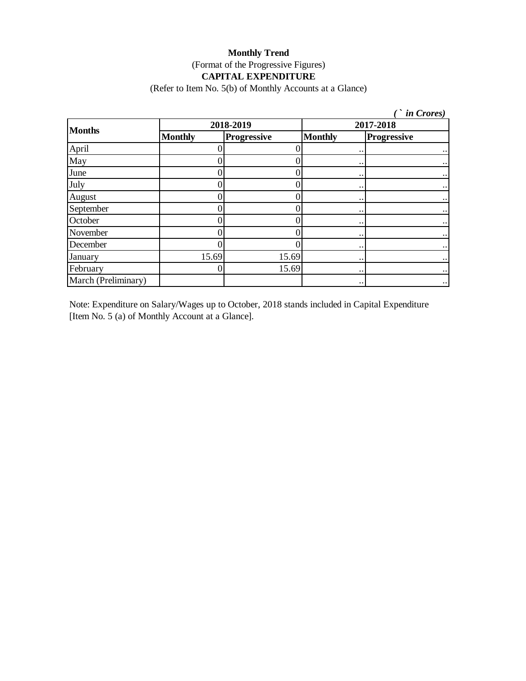#### **Monthly Trend** (Format of the Progressive Figures) **CAPITAL EXPENDITURE**

(Refer to Item No. 5(b) of Monthly Accounts at a Glance)

|                     |                |             |                        | <i>in Crores</i> )   |
|---------------------|----------------|-------------|------------------------|----------------------|
| <b>Months</b>       | 2018-2019      |             | 2017-2018              |                      |
|                     | <b>Monthly</b> | Progressive | <b>Monthly</b>         | <b>Progressive</b>   |
| April               |                |             | $\ddot{\phantom{0}}$   | $\ddotsc$            |
| May                 |                |             | $\ddot{\phantom{0}}$   | $\bullet$ $\bullet$  |
| June                |                |             | $\ddot{\phantom{0}}$   | $\ddotsc$            |
| July                |                |             | $\ddot{\phantom{0}}$   | $\ddotsc$            |
| August              |                |             | $\ddot{\phantom{0}}$   | $\ddot{\phantom{0}}$ |
| September           |                |             | $\ddot{\phantom{0}}$   | $\ddot{\phantom{0}}$ |
| October             |                |             | $\ddot{\phantom{0}}$   | $\bullet$ .          |
| November            |                |             | $\ddot{\phantom{0}}$   |                      |
| December            |                |             | $\ddot{\phantom{0}}$   |                      |
| January             | 15.69          | 15.69       | $\ddot{\phantom{a}}$ . |                      |
| February            |                | 15.69       | $\ddot{\phantom{0}}$   |                      |
| March (Preliminary) |                |             | $\ddotsc$              | $\ddot{\phantom{0}}$ |

Note: Expenditure on Salary/Wages up to October, 2018 stands included in Capital Expenditure [Item No. 5 (a) of Monthly Account at a Glance].